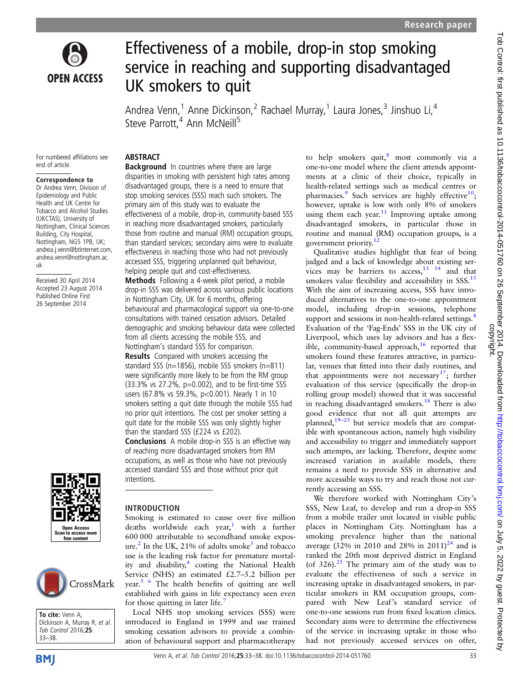

# Effectiveness of a mobile, drop-in stop smoking service in reaching and supporting disadvantaged UK smokers to quit

Andrea Venn,<sup>1</sup> Anne Dickinson,<sup>2</sup> Rachael Murray,<sup>1</sup> Laura Jones,<sup>3</sup> Jinshuo Li,<sup>4</sup> Steve Parrott, $4$  Ann McNeill<sup>5</sup>

For numbered affiliations see end of article.

**ARSTRACT** 

**Background** In countries where there are large disparities in smoking with persistent high rates among disadvantaged groups, there is a need to ensure that stop smoking services (SSS) reach such smokers. The primary aim of this study was to evaluate the

effectiveness of a mobile, drop-in, community-based SSS in reaching more disadvantaged smokers, particularly those from routine and manual (RM) occupation groups, than standard services; secondary aims were to evaluate effectiveness in reaching those who had not previously accessed SSS, triggering unplanned quit behaviour, helping people quit and cost-effectiveness.

Methods Following a 4-week pilot period, a mobile drop-in SSS was delivered across various public locations

behavioural and pharmacological support via one-to-one consultations with trained cessation advisors. Detailed demographic and smoking behaviour data were collected

in Nottingham City, UK for 6 months, offering

from all clients accessing the mobile SSS, and Nottingham's standard SSS for comparison. **Results** Compared with smokers accessing the standard SSS (n=1856), mobile SSS smokers (n=811) were significantly more likely to be from the RM group (33.3% vs 27.2%, p=0.002), and to be first-time SSS users (67.8% vs 59.3%, p<0.001). Nearly 1 in 10 smokers setting a quit date through the mobile SSS had no prior quit intentions. The cost per smoker setting a quit date for the mobile SSS was only slightly higher

than the standard SSS (£224 vs £202).

Conclusions A mobile drop-in SSS is an effective way of reaching more disadvantaged smokers from RM occupations, as well as those who have not previously accessed standard SSS and those without prior quit

#### Correspondence to

Dr Andrea Venn, Division of Epidemiology and Public Health and UK Centre for Tobacco and Alcohol Studies (UKCTAS), University of Nottingham, Clinical Sciences Building, City Hospital, Nottingham, NG5 1PB, UK; andrea.j.venn@btinternet.com, andrea.venn@nottingham.ac. uk

Received 30 April 2014 Accepted 23 August 2014 Published Online First 26 September 2014



CrossMark



intentions.

Smoking is estimated to cause over five million deaths worldwide each year, $\frac{1}{1}$  $\frac{1}{1}$  $\frac{1}{1}$  with a further 600 000 attributable to secondhand smoke expos-ure.<sup>[2](#page-5-0)</sup> In the UK, 21% of adults smoke<sup>[3](#page-5-0)</sup> and tobacco use is the leading risk factor for premature mortal-ity and disability,<sup>[4](#page-5-0)</sup> costing the National Health Service (NHS) an estimated £2.7–5.2 billion per year.[5 6](#page-5-0) The health benefits of quitting are well established with gains in life expectancy seen even for those quitting in later life.

Local NHS stop smoking services (SSS) were introduced in England in 1999 and use trained smoking cessation advisors to provide a combination of behavioural support and pharmacotherapy to help smokers quit. $\frac{8}{3}$  $\frac{8}{3}$  $\frac{8}{3}$  most commonly via a one-to-one model where the client attends appointments at a clinic of their choice, typically in health-related settings such as medical centres or pharmacies.<sup>9</sup> Such services are highly effective<sup>[10](#page-5-0)</sup>; however, uptake is low with only 8% of smokers using them each year. $11$  Improving uptake among disadvantaged smokers, in particular those in routine and manual (RM) occupation groups, is a government priority.<sup>1</sup>

Qualitative studies highlight that fear of being judged and a lack of knowledge about existing services may be barriers to  $access$ ,<sup>13</sup>, <sup>14</sup> and that smokers value flexibility and accessibility in SSS.<sup>[15](#page-5-0)</sup> With the aim of increasing access, SSS have introduced alternatives to the one-to-one appointment model, including drop-in sessions, telephone support and sessions in non-health-related settings.<sup>[8](#page-5-0)</sup> Evaluation of the 'Fag-Ends' SSS in the UK city of Liverpool, which uses lay advisors and has a flexible, community-based approach, $16$  reported that smokers found these features attractive, in particular, venues that fitted into their daily routines, and that appointments were not necessary<sup>[17](#page-5-0)</sup>; further evaluation of this service (specifically the drop-in rolling group model) showed that it was successful in reaching disadvantaged smokers.<sup>[18](#page-5-0)</sup> There is also good evidence that not all quit attempts are planned[,19](#page-5-0)–<sup>23</sup> but service models that are compatible with spontaneous action, namely high visibility and accessibility to trigger and immediately support such attempts, are lacking. Therefore, despite some increased variation in available models, there remains a need to provide SSS in alternative and more accessible ways to try and reach those not currently accessing an SSS.

We therefore worked with Nottingham City's SSS, New Leaf, to develop and run a drop-in SSS from a mobile trailer unit located in visible public places in Nottingham City. Nottingham has a smoking prevalence higher than the national average (32% in 2010 and 28% in 2011)<sup>[24](#page-5-0)</sup> and is ranked the 20th most deprived district in England (of  $326$ ).<sup>[25](#page-5-0)</sup> The primary aim of the study was to evaluate the effectiveness of such a service in increasing uptake in disadvantaged smokers, in particular smokers in RM occupation groups, compared with New Leaf's standard service of one-to-one sessions run from fixed location clinics. Secondary aims were to determine the effectiveness of the service in increasing uptake in those who had not previously accessed services on offer,

33–38.

To cite: Venn A, Dickinson A, Murray R, et al. Tob Control 2016;25: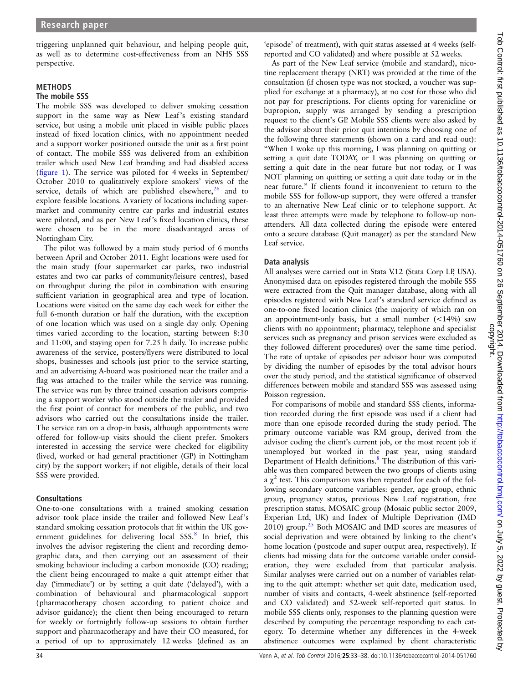triggering unplanned quit behaviour, and helping people quit, as well as to determine cost-effectiveness from an NHS SSS perspective.

## METHODS

#### The mobile SSS

The mobile SSS was developed to deliver smoking cessation support in the same way as New Leaf's existing standard service, but using a mobile unit placed in visible public places instead of fixed location clinics, with no appointment needed and a support worker positioned outside the unit as a first point of contact. The mobile SSS was delivered from an exhibition trailer which used New Leaf branding and had disabled access (fi[gure 1](#page-2-0)). The service was piloted for 4 weeks in September/ October 2010 to qualitatively explore smokers' views of the service, details of which are published elsewhere, $26$  and to explore feasible locations. A variety of locations including supermarket and community centre car parks and industrial estates were piloted, and as per New Leaf's fixed location clinics, these were chosen to be in the more disadvantaged areas of Nottingham City.

The pilot was followed by a main study period of 6 months between April and October 2011. Eight locations were used for the main study (four supermarket car parks, two industrial estates and two car parks of community/leisure centres), based on throughput during the pilot in combination with ensuring sufficient variation in geographical area and type of location. Locations were visited on the same day each week for either the full 6-month duration or half the duration, with the exception of one location which was used on a single day only. Opening times varied according to the location, starting between 8:30 and 11:00, and staying open for 7.25 h daily. To increase public awareness of the service, posters/flyers were distributed to local shops, businesses and schools just prior to the service starting, and an advertising A-board was positioned near the trailer and a flag was attached to the trailer while the service was running. The service was run by three trained cessation advisors comprising a support worker who stood outside the trailer and provided the first point of contact for members of the public, and two advisors who carried out the consultations inside the trailer. The service ran on a drop-in basis, although appointments were offered for follow-up visits should the client prefer. Smokers interested in accessing the service were checked for eligibility (lived, worked or had general practitioner (GP) in Nottingham city) by the support worker; if not eligible, details of their local SSS were provided.

## Consultations

One-to-one consultations with a trained smoking cessation advisor took place inside the trailer and followed New Leaf's standard smoking cessation protocols that fit within the UK government guidelines for delivering local SSS.<sup>8</sup> In brief, this involves the advisor registering the client and recording demographic data, and then carrying out an assessment of their smoking behaviour including a carbon monoxide (CO) reading; the client being encouraged to make a quit attempt either that day ('immediate') or by setting a quit date ('delayed'), with a combination of behavioural and pharmacological support (pharmacotherapy chosen according to patient choice and advisor guidance); the client then being encouraged to return for weekly or fortnightly follow-up sessions to obtain further support and pharmacotherapy and have their CO measured, for a period of up to approximately 12 weeks (defined as an

'episode' of treatment), with quit status assessed at 4 weeks (selfreported and CO validated) and where possible at 52 weeks.

As part of the New Leaf service (mobile and standard), nicotine replacement therapy (NRT) was provided at the time of the consultation (if chosen type was not stocked, a voucher was supplied for exchange at a pharmacy), at no cost for those who did not pay for prescriptions. For clients opting for varenicline or bupropion, supply was arranged by sending a prescription request to the client's GP. Mobile SSS clients were also asked by the advisor about their prior quit intentions by choosing one of the following three statements (shown on a card and read out): "When I woke up this morning, I was planning on quitting or setting a quit date TODAY, or I was planning on quitting or setting a quit date in the near future but not today, or I was NOT planning on quitting or setting a quit date today or in the near future." If clients found it inconvenient to return to the mobile SSS for follow-up support, they were offered a transfer to an alternative New Leaf clinic or to telephone support. At least three attempts were made by telephone to follow-up nonattenders. All data collected during the episode were entered onto a secure database (Quit manager) as per the standard New Leaf service.

## Data analysis

All analyses were carried out in Stata V.12 (Stata Corp LP, USA). Anonymised data on episodes registered through the mobile SSS were extracted from the Quit manager database, along with all episodes registered with New Leaf's standard service defined as one-to-one fixed location clinics (the majority of which ran on an appointment-only basis, but a small number  $\left($  < 14%) saw clients with no appointment; pharmacy, telephone and specialist services such as pregnancy and prison services were excluded as they followed different procedures) over the same time period. The rate of uptake of episodes per advisor hour was computed by dividing the number of episodes by the total advisor hours over the study period, and the statistical significance of observed differences between mobile and standard SSS was assessed using Poisson regression.

For comparisons of mobile and standard SSS clients, information recorded during the first episode was used if a client had more than one episode recorded during the study period. The primary outcome variable was RM group, derived from the advisor coding the client's current job, or the most recent job if unemployed but worked in the past year, using standard Department of Health definitions[.8](#page-5-0) The distribution of this variable was then compared between the two groups of clients using a  $\chi^2$  test. This comparison was then repeated for each of the following secondary outcome variables: gender, age group, ethnic group, pregnancy status, previous New Leaf registration, free prescription status, MOSAIC group (Mosaic public sector 2009, Experian Ltd, UK) and Index of Multiple Deprivation (IMD 2010) group. $25$  Both MOSAIC and IMD scores are measures of social deprivation and were obtained by linking to the client's home location (postcode and super output area, respectively). If clients had missing data for the outcome variable under consideration, they were excluded from that particular analysis. Similar analyses were carried out on a number of variables relating to the quit attempt: whether set quit date, medication used, number of visits and contacts, 4-week abstinence (self-reported and CO validated) and 52-week self-reported quit status. In mobile SSS clients only, responses to the planning question were described by computing the percentage responding to each category. To determine whether any differences in the 4-week abstinence outcomes were explained by client characteristic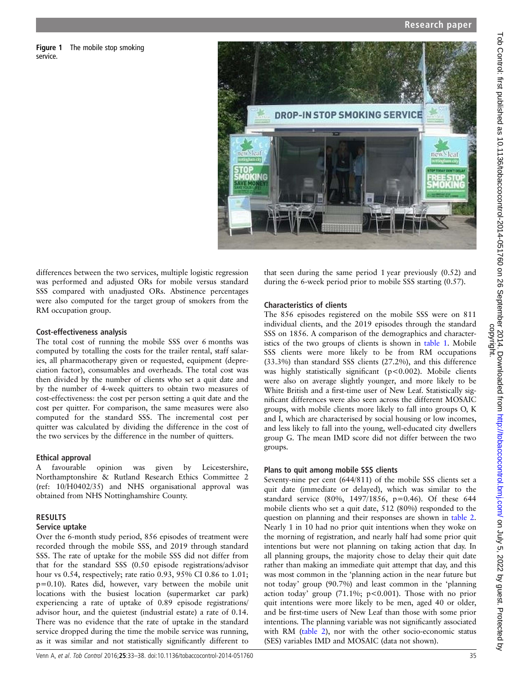<span id="page-2-0"></span>Figure 1 The mobile stop smoking service.



differences between the two services, multiple logistic regression was performed and adjusted ORs for mobile versus standard SSS compared with unadjusted ORs. Abstinence percentages were also computed for the target group of smokers from the RM occupation group.

#### Cost-effectiveness analysis

The total cost of running the mobile SSS over 6 months was computed by totalling the costs for the trailer rental, staff salaries, all pharmacotherapy given or requested, equipment (depreciation factor), consumables and overheads. The total cost was then divided by the number of clients who set a quit date and by the number of 4-week quitters to obtain two measures of cost-effectiveness: the cost per person setting a quit date and the cost per quitter. For comparison, the same measures were also computed for the standard SSS. The incremental cost per quitter was calculated by dividing the difference in the cost of the two services by the difference in the number of quitters.

## Ethical approval

A favourable opinion was given by Leicestershire, Northamptonshire & Rutland Research Ethics Committee 2 (ref: 10/H0402/35) and NHS organisational approval was obtained from NHS Nottinghamshire County.

### RESULTS

#### Service uptake

Over the 6-month study period, 856 episodes of treatment were recorded through the mobile SSS, and 2019 through standard SSS. The rate of uptake for the mobile SSS did not differ from that for the standard SSS (0.50 episode registrations/advisor hour vs 0.54, respectively; rate ratio 0.93, 95% CI 0.86 to 1.01; p=0.10). Rates did, however, vary between the mobile unit locations with the busiest location (supermarket car park) experiencing a rate of uptake of 0.89 episode registrations/ advisor hour, and the quietest (industrial estate) a rate of 0.14. There was no evidence that the rate of uptake in the standard service dropped during the time the mobile service was running, as it was similar and not statistically significantly different to

that seen during the same period 1 year previously (0.52) and during the 6-week period prior to mobile SSS starting (0.57).

# Characteristics of clients

The 856 episodes registered on the mobile SSS were on 811 individual clients, and the 2019 episodes through the standard SSS on 1856. A comparison of the demographics and characteristics of the two groups of clients is shown in [table 1.](#page-3-0) Mobile SSS clients were more likely to be from RM occupations (33.3%) than standard SSS clients (27.2%), and this difference was highly statistically significant (p<0.002). Mobile clients were also on average slightly younger, and more likely to be White British and a first-time user of New Leaf. Statistically significant differences were also seen across the different MOSAIC groups, with mobile clients more likely to fall into groups O, K and I, which are characterised by social housing or low incomes, and less likely to fall into the young, well-educated city dwellers group G. The mean IMD score did not differ between the two groups.

## Plans to quit among mobile SSS clients

Seventy-nine per cent (644/811) of the mobile SSS clients set a quit date (immediate or delayed), which was similar to the standard service (80%, 1497/1856, p=0.46). Of these 644 mobile clients who set a quit date, 512 (80%) responded to the question on planning and their responses are shown in [table 2.](#page-3-0) Nearly 1 in 10 had no prior quit intentions when they woke on the morning of registration, and nearly half had some prior quit intentions but were not planning on taking action that day. In all planning groups, the majority chose to delay their quit date rather than making an immediate quit attempt that day, and this was most common in the 'planning action in the near future but not today' group (90.7%) and least common in the 'planning action today' group  $(71.1\%; p<0.001)$ . Those with no prior quit intentions were more likely to be men, aged 40 or older, and be first-time users of New Leaf than those with some prior intentions. The planning variable was not significantly associated with RM [\(table 2](#page-3-0)), nor with the other socio-economic status (SES) variables IMD and MOSAIC (data not shown).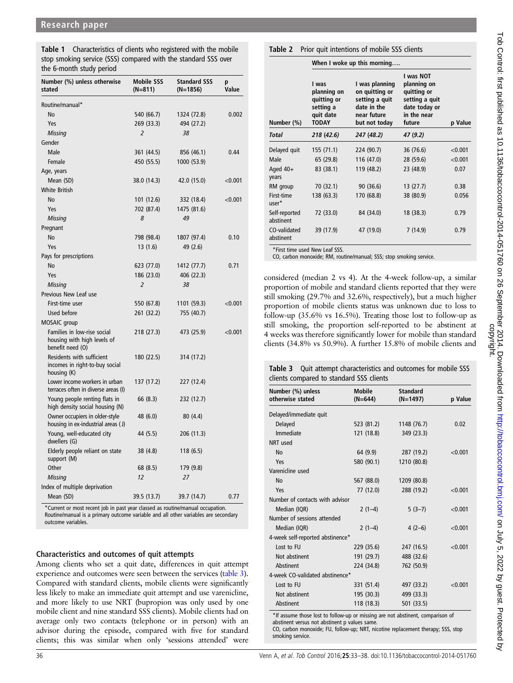<span id="page-3-0"></span>

|                                                                | <b>Table 1</b> Characteristics of clients who registered with the mobile |  |  |
|----------------------------------------------------------------|--------------------------------------------------------------------------|--|--|
| stop smoking service (SSS) compared with the standard SSS over |                                                                          |  |  |
|                                                                | the 6-month study period                                                 |  |  |

| Number (%) unless otherwise<br>stated                                          | <b>Mobile SSS</b><br>(N=811) | <b>Standard SSS</b><br>(N=1856) | p<br>Value |
|--------------------------------------------------------------------------------|------------------------------|---------------------------------|------------|
| Routine/manual*                                                                |                              |                                 |            |
| No                                                                             | 540 (66.7)                   | 1324 (72.8)                     | 0.002      |
| Yes                                                                            | 269 (33.3)                   | 494 (27.2)                      |            |
| Missing                                                                        | $\overline{2}$               | 38                              |            |
| Gender                                                                         |                              |                                 |            |
| Male                                                                           | 361 (44.5)                   | 856 (46.1)                      | 0.44       |
| Female                                                                         | 450 (55.5)                   | 1000 (53.9)                     |            |
| Age, years                                                                     |                              |                                 |            |
| Mean (SD)                                                                      | 38.0 (14.3)                  | 42.0 (15.0)                     | ${<}0.001$ |
| <b>White British</b>                                                           |                              |                                 |            |
| No                                                                             | 101 (12.6)                   | 332 (18.4)                      | < 0.001    |
| Yes                                                                            | 702 (87.4)                   | 1475 (81.6)                     |            |
| Missing                                                                        | 8                            | 49                              |            |
| Pregnant                                                                       |                              |                                 |            |
| No                                                                             | 798 (98.4)                   | 1807 (97.4)                     | 0.10       |
| Yes                                                                            | 13(1.6)                      | 49 (2.6)                        |            |
| Pays for prescriptions                                                         |                              |                                 |            |
| No                                                                             | 623 (77.0)                   | 1412 (77.7)                     | 0.71       |
| Yes                                                                            | 186 (23.0)                   | 406 (22.3)                      |            |
| Missing                                                                        | $\overline{2}$               | 38                              |            |
| Previous New Leaf use                                                          |                              |                                 |            |
| First-time user                                                                | 550 (67.8)                   | 1101 (59.3)                     | < 0.001    |
| Used before                                                                    | 261 (32.2)                   | 755 (40.7)                      |            |
| MOSAIC group                                                                   |                              |                                 |            |
| Families in low-rise social<br>housing with high levels of<br>benefit need (O) | 218 (27.3)                   | 473 (25.9)                      | < 0.001    |
| Residents with sufficient<br>incomes in right-to-buy social<br>housing (K)     | 180 (22.5)                   | 314 (17.2)                      |            |
| Lower income workers in urban<br>terraces often in diverse areas (I)           | 137 (17.2)                   | 227 (12.4)                      |            |
| Young people renting flats in<br>high density social housing (N)               | 66 (8.3)                     | 232 (12.7)                      |            |
| Owner occupiers in older-style<br>housing in ex-industrial areas (J)           | 48 (6.0)                     | 80(4.4)                         |            |
| Young, well-educated city<br>dwellers (G)                                      | 44 (5.5)                     | 206 (11.3)                      |            |
| Elderly people reliant on state<br>support (M)                                 | 38 (4.8)                     | 118(6.5)                        |            |
| Other                                                                          | 68 (8.5)                     | 179 (9.8)                       |            |
| <b>Missing</b>                                                                 | 12                           | 27                              |            |
| Index of multiple deprivation                                                  |                              |                                 |            |
| Mean (SD)                                                                      | 39.5 (13.7)                  | 39.7 (14.7)                     | 0.77       |

\*Current or most recent job in past year classed as routine/manual occupation. Routine/manual is a primary outcome variable and all other variables are secondary outcome variables.

## Characteristics and outcomes of quit attempts

Among clients who set a quit date, differences in quit attempt experience and outcomes were seen between the services (table 3). Compared with standard clients, mobile clients were significantly less likely to make an immediate quit attempt and use varenicline, and more likely to use NRT (bupropion was only used by one mobile client and nine standard SSS clients). Mobile clients had on average only two contacts (telephone or in person) with an advisor during the episode, compared with five for standard clients; this was similar when only 'sessions attended' were

#### Table 2 Prior quit intentions of mobile SSS clients

|                            | When I woke up this morning                                                   |                                                                                                   |                                                                                                     |         |  |
|----------------------------|-------------------------------------------------------------------------------|---------------------------------------------------------------------------------------------------|-----------------------------------------------------------------------------------------------------|---------|--|
| Number (%)                 | I was<br>planning on<br>quitting or<br>setting a<br>quit date<br><b>TODAY</b> | I was planning<br>on quitting or<br>setting a quit<br>date in the<br>near future<br>but not today | I was NOT<br>planning on<br>quitting or<br>setting a quit<br>date today or<br>in the near<br>future | p Value |  |
| Total                      | 218 (42.6)                                                                    | 247 (48.2)                                                                                        | 47 (9.2)                                                                                            |         |  |
| Delayed quit               | 155 (71.1)                                                                    | 224 (90.7)                                                                                        | 36 (76.6)                                                                                           | < 0.001 |  |
| Male                       | 65 (29.8)                                                                     | 116 (47.0)                                                                                        | 28 (59.6)                                                                                           | < 0.001 |  |
| Aged $40+$<br>years        | 83 (38.1)                                                                     | 119 (48.2)                                                                                        | 23 (48.9)                                                                                           | 0.07    |  |
| RM group                   | 70 (32.1)                                                                     | 90 (36.6)                                                                                         | 13(27.7)                                                                                            | 0.38    |  |
| First-time<br>user*        | 138 (63.3)                                                                    | 170 (68.8)                                                                                        | 38 (80.9)                                                                                           | 0.056   |  |
| Self-reported<br>abstinent | 72 (33.0)                                                                     | 84 (34.0)                                                                                         | 18 (38.3)                                                                                           | 0.79    |  |
| CO-validated<br>abstinent  | 39 (17.9)                                                                     | 47 (19.0)                                                                                         | 7(14.9)                                                                                             | 0.79    |  |

\*First time used New Leaf SSS.

CO, carbon monoxide; RM, routine/manual; SSS; stop smoking service.

considered (median 2 vs 4). At the 4-week follow-up, a similar proportion of mobile and standard clients reported that they were still smoking (29.7% and 32.6%, respectively), but a much higher proportion of mobile clients status was unknown due to loss to follow-up (35.6% vs 16.5%). Treating those lost to follow-up as still smoking, the proportion self-reported to be abstinent at 4 weeks was therefore significantly lower for mobile than standard clients (34.8% vs 50.9%). A further 15.8% of mobile clients and

| <b>Table 3</b> Quit attempt characteristics and outcomes for mobile SSS |
|-------------------------------------------------------------------------|
| clients compared to standard SSS clients                                |

| Number (%) unless<br>otherwise stated | Mobile<br>$(N=644)$ | <b>Standard</b><br>$(N=1497)$ | p Value |
|---------------------------------------|---------------------|-------------------------------|---------|
| Delayed/immediate quit                |                     |                               |         |
| Delayed                               | 523 (81.2)          | 1148 (76.7)                   | 0.02    |
| Immediate                             | 121 (18.8)          | 349 (23.3)                    |         |
| NRT used                              |                     |                               |         |
| <b>No</b>                             | 64 (9.9)            | 287 (19.2)                    | < 0.001 |
| Yes                                   | 580 (90.1)          | 1210 (80.8)                   |         |
| Varenicline used                      |                     |                               |         |
| <b>No</b>                             | 567 (88.0)          | 1209 (80.8)                   |         |
| Yes                                   | 77 (12.0)           | 288 (19.2)                    | < 0.001 |
| Number of contacts with advisor       |                     |                               |         |
| Median (IQR)                          | $2(1-4)$            | $5(3-7)$                      | < 0.001 |
| Number of sessions attended           |                     |                               |         |
| Median (IQR)                          | $2(1-4)$            | $4(2-6)$                      | < 0.001 |
| 4-week self-reported abstinence*      |                     |                               |         |
| Lost to FU                            | 229 (35.6)          | 247 (16.5)                    | < 0.001 |
| Not abstinent                         | 191 (29.7)          | 488 (32.6)                    |         |
| Abstinent                             | 224 (34.8)          | 762 (50.9)                    |         |
| 4-week CO-validated abstinence*       |                     |                               |         |
| Lost to FU                            | 331 (51.4)          | 497 (33.2)                    | < 0.001 |
| Not abstinent                         | 195 (30.3)          | 499 (33.3)                    |         |
| Abstinent                             | 118(18.3)           | 501 (33.5)                    |         |
|                                       |                     |                               |         |

\*If assume those lost to follow-up or missing are not abstinent, comparison of abstinent versus not abstinent p values same. CO, carbon monoxide; FU, follow-up; NRT, nicotine replacement therapy; SSS, stop smoking service.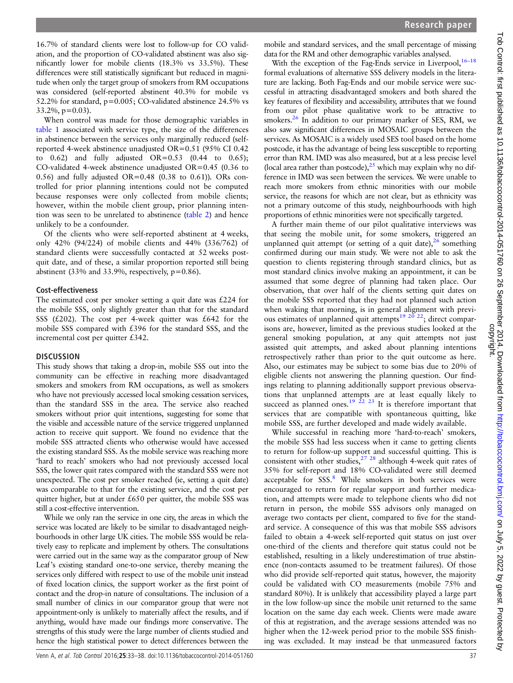16.7% of standard clients were lost to follow-up for CO validation, and the proportion of CO-validated abstinent was also significantly lower for mobile clients (18.3% vs 33.5%). These differences were still statistically significant but reduced in magnitude when only the target group of smokers from RM occupations was considered (self-reported abstinent 40.3% for mobile vs 52.2% for standard, p=0.005; CO-validated abstinence 24.5% vs 33.2%, p=0.03).

When control was made for those demographic variables in [table 1](#page-3-0) associated with service type, the size of the differences in abstinence between the services only marginally reduced (selfreported 4-week abstinence unadjusted OR=0.51 (95% CI 0.42 to  $0.62$ ) and fully adjusted OR= $0.53$  (0.44 to 0.65); CO-validated 4-week abstinence unadjusted OR=0.45 (0.36 to 0.56) and fully adjusted  $OR=0.48$  (0.38 to 0.61)). ORs controlled for prior planning intentions could not be computed because responses were only collected from mobile clients; however, within the mobile client group, prior planning intention was seen to be unrelated to abstinence [\(table 2\)](#page-3-0) and hence unlikely to be a confounder.

Of the clients who were self-reported abstinent at 4 weeks, only 42% (94/224) of mobile clients and 44% (336/762) of standard clients were successfully contacted at 52 weeks postquit date, and of these, a similar proportion reported still being abstinent (33% and 33.9%, respectively,  $p=0.86$ ).

## Cost-effectiveness

The estimated cost per smoker setting a quit date was £224 for the mobile SSS, only slightly greater than that for the standard SSS ( $£202$ ). The cost per 4-week quitter was  $£642$  for the mobile SSS compared with £396 for the standard SSS, and the incremental cost per quitter £342.

## **DISCUSSION**

This study shows that taking a drop-in, mobile SSS out into the community can be effective in reaching more disadvantaged smokers and smokers from RM occupations, as well as smokers who have not previously accessed local smoking cessation services, than the standard SSS in the area. The service also reached smokers without prior quit intentions, suggesting for some that the visible and accessible nature of the service triggered unplanned action to receive quit support. We found no evidence that the mobile SSS attracted clients who otherwise would have accessed the existing standard SSS. As the mobile service was reaching more 'hard to reach' smokers who had not previously accessed local SSS, the lower quit rates compared with the standard SSS were not unexpected. The cost per smoker reached (ie, setting a quit date) was comparable to that for the existing service, and the cost per quitter higher, but at under  $£650$  per quitter, the mobile SSS was still a cost-effective intervention.

While we only ran the service in one city, the areas in which the service was located are likely to be similar to disadvantaged neighbourhoods in other large UK cities. The mobile SSS would be relatively easy to replicate and implement by others. The consultations were carried out in the same way as the comparator group of New Leaf's existing standard one-to-one service, thereby meaning the services only differed with respect to use of the mobile unit instead of fixed location clinics, the support worker as the first point of contact and the drop-in nature of consultations. The inclusion of a small number of clinics in our comparator group that were not appointment-only is unlikely to materially affect the results, and if anything, would have made our findings more conservative. The strengths of this study were the large number of clients studied and hence the high statistical power to detect differences between the

mobile and standard services, and the small percentage of missing data for the RM and other demographic variables analysed.

With the exception of the Fag-Ends service in Liverpool,  $16-18$ formal evaluations of alternative SSS delivery models in the literature are lacking. Both Fag-Ends and our mobile service were successful in attracting disadvantaged smokers and both shared the key features of flexibility and accessibility, attributes that we found from our pilot phase qualitative work to be attractive to smokers.<sup>26</sup> In addition to our primary marker of SES, RM, we also saw significant differences in MOSAIC groups between the services. As MOSAIC is a widely used SES tool based on the home postcode, it has the advantage of being less susceptible to reporting error than RM. IMD was also measured, but at a less precise level (local area rather than postcode), $25$  which may explain why no difference in IMD was seen between the services. We were unable to reach more smokers from ethnic minorities with our mobile service, the reasons for which are not clear, but as ethnicity was not a primary outcome of this study, neighbourhoods with high proportions of ethnic minorities were not specifically targeted.

A further main theme of our pilot qualitative interviews was that seeing the mobile unit, for some smokers, triggered an unplanned quit attempt (or setting of a quit date), $26$  something confirmed during our main study. We were not able to ask the question to clients registering through standard clinics, but as most standard clinics involve making an appointment, it can be assumed that some degree of planning had taken place. Our observation, that over half of the clients setting quit dates on the mobile SSS reported that they had not planned such action when waking that morning, is in general alignment with previous estimates of unplanned quit attempts<sup>19 20</sup> <sup>22</sup>; direct comparisons are, however, limited as the previous studies looked at the general smoking population, at any quit attempts not just assisted quit attempts, and asked about planning intentions retrospectively rather than prior to the quit outcome as here. Also, our estimates may be subject to some bias due to 20% of eligible clients not answering the planning question. Our findings relating to planning additionally support previous observations that unplanned attempts are at least equally likely to succeed as planned ones.<sup>19  $\overline{22}$  23 It is therefore important that</sup> services that are compatible with spontaneous quitting, like mobile SSS, are further developed and made widely available.

While successful in reaching more 'hard-to-reach' smokers, the mobile SSS had less success when it came to getting clients to return for follow-up support and successful quitting. This is consistent with other studies,  $27 \frac{28}{3}$  although 4-week quit rates of 35% for self-report and 18% CO-validated were still deemed acceptable for  $SSS$ .<sup>[8](#page-5-0)</sup> While smokers in both services were encouraged to return for regular support and further medication, and attempts were made to telephone clients who did not return in person, the mobile SSS advisors only managed on average two contacts per client, compared to five for the standard service. A consequence of this was that mobile SSS advisors failed to obtain a 4-week self-reported quit status on just over one-third of the clients and therefore quit status could not be established, resulting in a likely underestimation of true abstinence (non-contacts assumed to be treatment failures). Of those who did provide self-reported quit status, however, the majority could be validated with CO measurements (mobile 75% and standard 80%). It is unlikely that accessibility played a large part in the low follow-up since the mobile unit returned to the same location on the same day each week. Clients were made aware of this at registration, and the average sessions attended was no higher when the 12-week period prior to the mobile SSS finishing was excluded. It may instead be that unmeasured factors